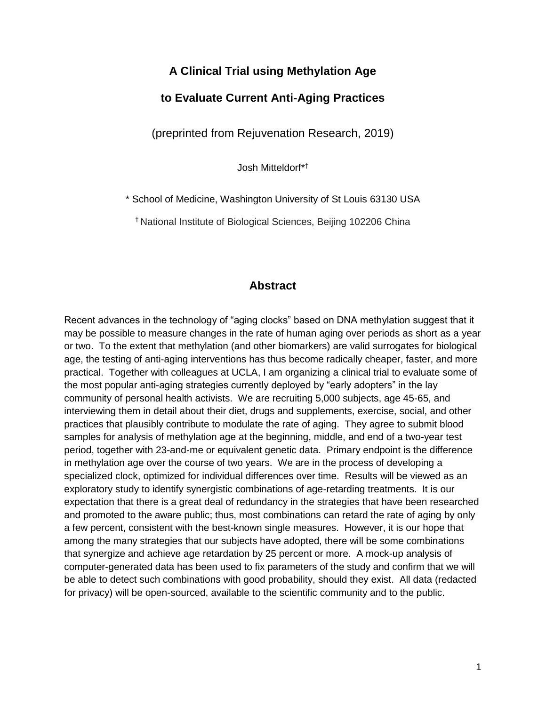# **A Clinical Trial using Methylation Age**

### **to Evaluate Current Anti-Aging Practices**

(preprinted from Rejuvenation Research, 2019)

Josh Mitteldorf\*†

\* School of Medicine, Washington University of St Louis 63130 USA

† National Institute of Biological Sciences, Beijing 102206 China

## **Abstract**

Recent advances in the technology of "aging clocks" based on DNA methylation suggest that it may be possible to measure changes in the rate of human aging over periods as short as a year or two. To the extent that methylation (and other biomarkers) are valid surrogates for biological age, the testing of anti-aging interventions has thus become radically cheaper, faster, and more practical. Together with colleagues at UCLA, I am organizing a clinical trial to evaluate some of the most popular anti-aging strategies currently deployed by "early adopters" in the lay community of personal health activists. We are recruiting 5,000 subjects, age 45-65, and interviewing them in detail about their diet, drugs and supplements, exercise, social, and other practices that plausibly contribute to modulate the rate of aging. They agree to submit blood samples for analysis of methylation age at the beginning, middle, and end of a two-year test period, together with 23-and-me or equivalent genetic data. Primary endpoint is the difference in methylation age over the course of two years. We are in the process of developing a specialized clock, optimized for individual differences over time. Results will be viewed as an exploratory study to identify synergistic combinations of age-retarding treatments. It is our expectation that there is a great deal of redundancy in the strategies that have been researched and promoted to the aware public; thus, most combinations can retard the rate of aging by only a few percent, consistent with the best-known single measures. However, it is our hope that among the many strategies that our subjects have adopted, there will be some combinations that synergize and achieve age retardation by 25 percent or more. A mock-up analysis of computer-generated data has been used to fix parameters of the study and confirm that we will be able to detect such combinations with good probability, should they exist. All data (redacted for privacy) will be open-sourced, available to the scientific community and to the public.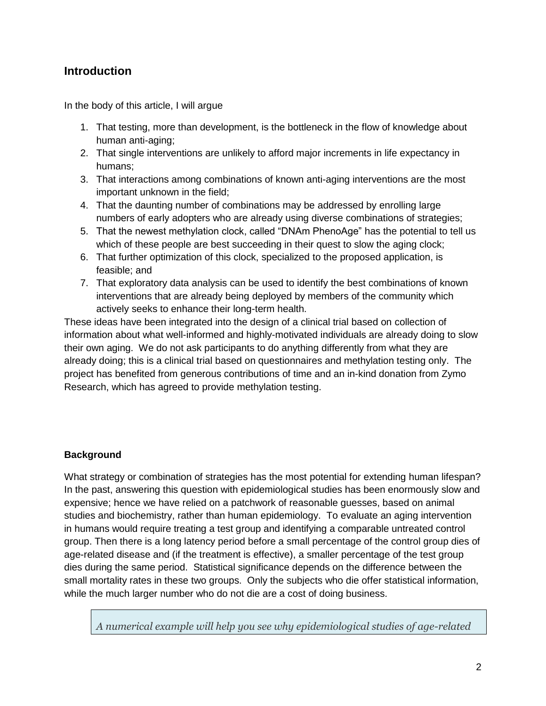# **Introduction**

In the body of this article, I will argue

- 1. That testing, more than development, is the bottleneck in the flow of knowledge about human anti-aging;
- 2. That single interventions are unlikely to afford major increments in life expectancy in humans;
- 3. That interactions among combinations of known anti-aging interventions are the most important unknown in the field;
- 4. That the daunting number of combinations may be addressed by enrolling large numbers of early adopters who are already using diverse combinations of strategies;
- 5. That the newest methylation clock, called "DNAm PhenoAge" has the potential to tell us which of these people are best succeeding in their quest to slow the aging clock;
- 6. That further optimization of this clock, specialized to the proposed application, is feasible; and
- 7. That exploratory data analysis can be used to identify the best combinations of known interventions that are already being deployed by members of the community which actively seeks to enhance their long-term health.

These ideas have been integrated into the design of a clinical trial based on collection of information about what well-informed and highly-motivated individuals are already doing to slow their own aging. We do not ask participants to do anything differently from what they are already doing; this is a clinical trial based on questionnaires and methylation testing only. The project has benefited from generous contributions of time and an in-kind donation from Zymo Research, which has agreed to provide methylation testing.

### **Background**

What strategy or combination of strategies has the most potential for extending human lifespan? In the past, answering this question with epidemiological studies has been enormously slow and expensive; hence we have relied on a patchwork of reasonable guesses, based on animal studies and biochemistry, rather than human epidemiology. To evaluate an aging intervention in humans would require treating a test group and identifying a comparable untreated control group. Then there is a long latency period before a small percentage of the control group dies of age-related disease and (if the treatment is effective), a smaller percentage of the test group dies during the same period. Statistical significance depends on the difference between the small mortality rates in these two groups. Only the subjects who die offer statistical information, while the much larger number who do not die are a cost of doing business.

*A numerical example will help you see why epidemiological studies of age-related*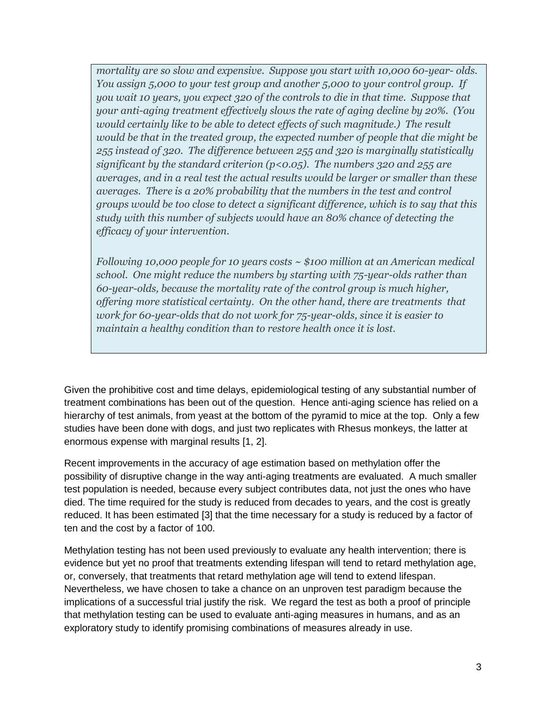*mortality are so slow and expensive. Suppose you start with 10,000 60-year- olds. You assign 5,000 to your test group and another 5,000 to your control group. If you wait 10 years, you expect 320 of the controls to die in that time. Suppose that your anti-aging treatment effectively slows the rate of aging decline by 20%. (You would certainly like to be able to detect effects of such magnitude.) The result would be that in the treated group, the expected number of people that die might be 255 instead of 320. The difference between 255 and 320 is marginally statistically significant by the standard criterion (p<0.05). The numbers 320 and 255 are averages, and in a real test the actual results would be larger or smaller than these averages. There is a 20% probability that the numbers in the test and control groups would be too close to detect a significant difference, which is to say that this study with this number of subjects would have an 80% chance of detecting the efficacy of your intervention.*

*Following 10,000 people for 10 years costs ~ \$100 million at an American medical school. One might reduce the numbers by starting with 75-year-olds rather than 60-year-olds, because the mortality rate of the control group is much higher, offering more statistical certainty. On the other hand, there are treatments that work for 60-year-olds that do not work for 75-year-olds, since it is easier to maintain a healthy condition than to restore health once it is lost.*

Given the prohibitive cost and time delays, epidemiological testing of any substantial number of treatment combinations has been out of the question. Hence anti-aging science has relied on a hierarchy of test animals, from yeast at the bottom of the pyramid to mice at the top. Only a few studies have been done with dogs, and just two replicates with Rhesus monkeys, the latter at enormous expense with marginal results [\[1,](#page-16-0) [2\]](#page-16-1).

Recent improvements in the accuracy of age estimation based on methylation offer the possibility of disruptive change in the way anti-aging treatments are evaluated. A much smaller test population is needed, because every subject contributes data, not just the ones who have died. The time required for the study is reduced from decades to years, and the cost is greatly reduced. It has been estimated [\[3\]](#page-16-2) that the time necessary for a study is reduced by a factor of ten and the cost by a factor of 100.

Methylation testing has not been used previously to evaluate any health intervention; there is evidence but yet no proof that treatments extending lifespan will tend to retard methylation age, or, conversely, that treatments that retard methylation age will tend to extend lifespan. Nevertheless, we have chosen to take a chance on an unproven test paradigm because the implications of a successful trial justify the risk. We regard the test as both a proof of principle that methylation testing can be used to evaluate anti-aging measures in humans, and as an exploratory study to identify promising combinations of measures already in use.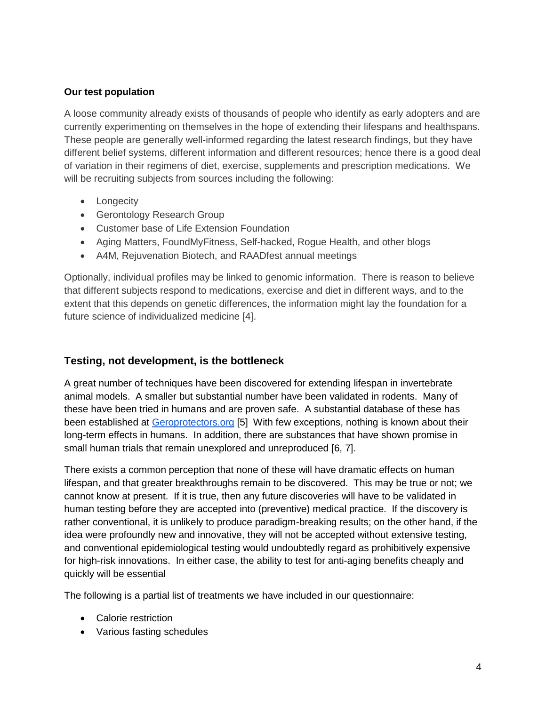### **Our test population**

A loose community already exists of thousands of people who identify as early adopters and are currently experimenting on themselves in the hope of extending their lifespans and healthspans. These people are generally well-informed regarding the latest research findings, but they have different belief systems, different information and different resources; hence there is a good deal of variation in their regimens of diet, exercise, supplements and prescription medications. We will be recruiting subjects from sources including the following:

- Longecity
- Gerontology Research Group
- Customer base of Life Extension Foundation
- Aging Matters, FoundMyFitness, Self-hacked, Rogue Health, and other blogs
- A4M, Rejuvenation Biotech, and RAADfest annual meetings

Optionally, individual profiles may be linked to genomic information. There is reason to believe that different subjects respond to medications, exercise and diet in different ways, and to the extent that this depends on genetic differences, the information might lay the foundation for a future science of individualized medicine [\[4\]](#page-16-3).

# **Testing, not development, is the bottleneck**

A great number of techniques have been discovered for extending lifespan in invertebrate animal models. A smaller but substantial number have been validated in rodents. Many of these have been tried in humans and are proven safe. A substantial database of these has been established at Geroprotectors.org [\[5\]](#page-16-4) With few exceptions, nothing is known about their long-term effects in humans. In addition, there are substances that have shown promise in small human trials that remain unexplored and unreproduced [\[6,](#page-16-5) [7\]](#page-16-6).

There exists a common perception that none of these will have dramatic effects on human lifespan, and that greater breakthroughs remain to be discovered. This may be true or not; we cannot know at present. If it is true, then any future discoveries will have to be validated in human testing before they are accepted into (preventive) medical practice. If the discovery is rather conventional, it is unlikely to produce paradigm-breaking results; on the other hand, if the idea were profoundly new and innovative, they will not be accepted without extensive testing, and conventional epidemiological testing would undoubtedly regard as prohibitively expensive for high-risk innovations. In either case, the ability to test for anti-aging benefits cheaply and quickly will be essential

The following is a partial list of treatments we have included in our questionnaire:

- Calorie restriction
- Various fasting schedules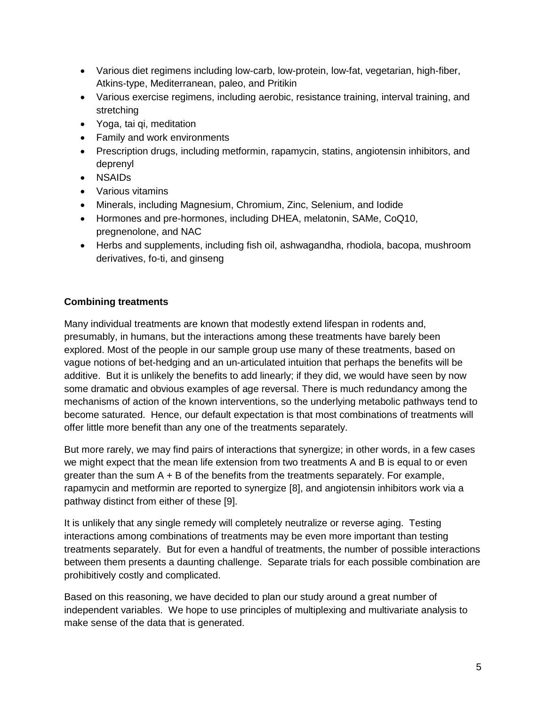- Various diet regimens including low-carb, low-protein, low-fat, vegetarian, high-fiber, Atkins-type, Mediterranean, paleo, and Pritikin
- Various exercise regimens, including aerobic, resistance training, interval training, and stretching
- Yoga, tai qi, meditation
- Family and work environments
- Prescription drugs, including metformin, rapamycin, statins, angiotensin inhibitors, and deprenyl
- NSAIDs
- Various vitamins
- Minerals, including Magnesium, Chromium, Zinc, Selenium, and Iodide
- Hormones and pre-hormones, including DHEA, melatonin, SAMe, CoQ10, pregnenolone, and NAC
- Herbs and supplements, including fish oil, ashwagandha, rhodiola, bacopa, mushroom derivatives, fo-ti, and ginseng

# **Combining treatments**

Many individual treatments are known that modestly extend lifespan in rodents and, presumably, in humans, but the interactions among these treatments have barely been explored. Most of the people in our sample group use many of these treatments, based on vague notions of bet-hedging and an un-articulated intuition that perhaps the benefits will be additive. But it is unlikely the benefits to add linearly; if they did, we would have seen by now some dramatic and obvious examples of age reversal. There is much redundancy among the mechanisms of action of the known interventions, so the underlying metabolic pathways tend to become saturated. Hence, our default expectation is that most combinations of treatments will offer little more benefit than any one of the treatments separately.

But more rarely, we may find pairs of interactions that synergize; in other words, in a few cases we might expect that the mean life extension from two treatments A and B is equal to or even greater than the sum  $A + B$  of the benefits from the treatments separately. For example, rapamycin and metformin are reported to synergize [\[8\]](#page-16-7), and angiotensin inhibitors work via a pathway distinct from either of these [\[9\]](#page-16-8).

It is unlikely that any single remedy will completely neutralize or reverse aging. Testing interactions among combinations of treatments may be even more important than testing treatments separately. But for even a handful of treatments, the number of possible interactions between them presents a daunting challenge. Separate trials for each possible combination are prohibitively costly and complicated.

Based on this reasoning, we have decided to plan our study around a great number of independent variables. We hope to use principles of multiplexing and multivariate analysis to make sense of the data that is generated.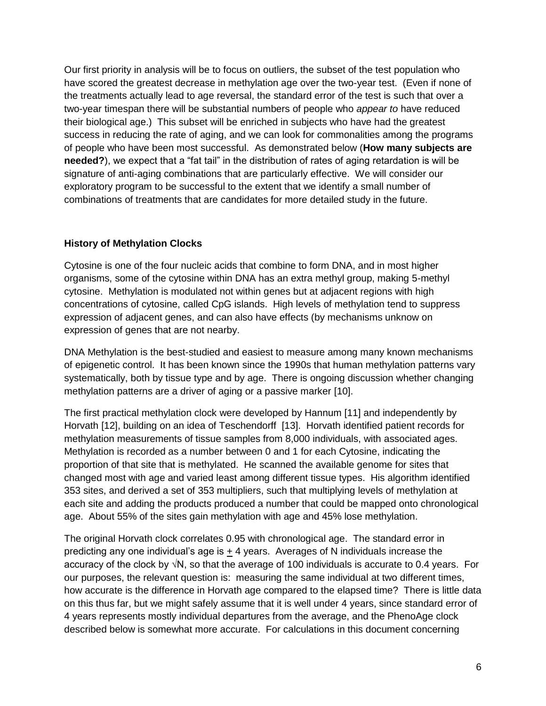Our first priority in analysis will be to focus on outliers, the subset of the test population who have scored the greatest decrease in methylation age over the two-year test. (Even if none of the treatments actually lead to age reversal, the standard error of the test is such that over a two-year timespan there will be substantial numbers of people who *appear to* have reduced their biological age.) This subset will be enriched in subjects who have had the greatest success in reducing the rate of aging, and we can look for commonalities among the programs of people who have been most successful. As demonstrated below (**How many subjects are needed?**), we expect that a "fat tail" in the distribution of rates of aging retardation is will be signature of anti-aging combinations that are particularly effective. We will consider our exploratory program to be successful to the extent that we identify a small number of combinations of treatments that are candidates for more detailed study in the future.

### **History of Methylation Clocks**

Cytosine is one of the four nucleic acids that combine to form DNA, and in most higher organisms, some of the cytosine within DNA has an extra methyl group, making 5-methyl cytosine. Methylation is modulated not within genes but at adjacent regions with high concentrations of cytosine, called CpG islands. High levels of methylation tend to suppress expression of adjacent genes, and can also have effects (by mechanisms unknow on expression of genes that are not nearby.

DNA Methylation is the best-studied and easiest to measure among many known mechanisms of epigenetic control. It has been known since the 1990s that human methylation patterns vary systematically, both by tissue type and by age. There is ongoing discussion whether changing methylation patterns are a driver of aging or a passive marker [\[10\]](#page-16-9).

The first practical methylation clock were developed by Hannum [\[11\]](#page-16-10) and independently by Horvath [\[12\]](#page-16-11), building on an idea of Teschendorff [\[13\]](#page-16-12). Horvath identified patient records for methylation measurements of tissue samples from 8,000 individuals, with associated ages. Methylation is recorded as a number between 0 and 1 for each Cytosine, indicating the proportion of that site that is methylated. He scanned the available genome for sites that changed most with age and varied least among different tissue types. His algorithm identified 353 sites, and derived a set of 353 multipliers, such that multiplying levels of methylation at each site and adding the products produced a number that could be mapped onto chronological age. About 55% of the sites gain methylation with age and 45% lose methylation.

The original Horvath clock correlates 0.95 with chronological age. The standard error in predicting any one individual's age is + 4 years. Averages of N individuals increase the accuracy of the clock by √N, so that the average of 100 individuals is accurate to 0.4 years. For our purposes, the relevant question is: measuring the same individual at two different times, how accurate is the difference in Horvath age compared to the elapsed time? There is little data on this thus far, but we might safely assume that it is well under 4 years, since standard error of 4 years represents mostly individual departures from the average, and the PhenoAge clock described below is somewhat more accurate. For calculations in this document concerning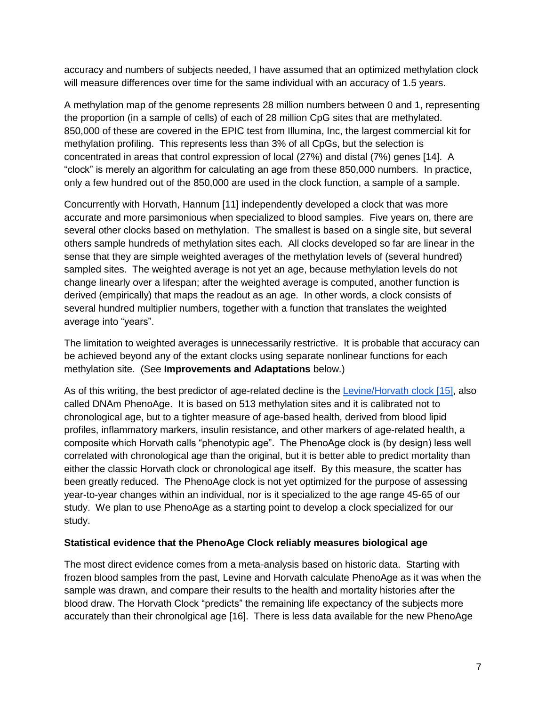accuracy and numbers of subjects needed, I have assumed that an optimized methylation clock will measure differences over time for the same individual with an accuracy of 1.5 years.

A methylation map of the genome represents 28 million numbers between 0 and 1, representing the proportion (in a sample of cells) of each of 28 million CpG sites that are methylated. 850,000 of these are covered in the EPIC test from Illumina, Inc, the largest commercial kit for methylation profiling. This represents less than 3% of all CpGs, but the selection is concentrated in areas that control expression of local (27%) and distal (7%) genes [\[14\]](#page-16-13). A "clock" is merely an algorithm for calculating an age from these 850,000 numbers. In practice, only a few hundred out of the 850,000 are used in the clock function, a sample of a sample.

Concurrently with Horvath, Hannum [\[11\]](#page-16-10) independently developed a clock that was more accurate and more parsimonious when specialized to blood samples. Five years on, there are several other clocks based on methylation. The smallest is based on a single site, but several others sample hundreds of methylation sites each. All clocks developed so far are linear in the sense that they are simple weighted averages of the methylation levels of (several hundred) sampled sites. The weighted average is not yet an age, because methylation levels do not change linearly over a lifespan; after the weighted average is computed, another function is derived (empirically) that maps the readout as an age. In other words, a clock consists of several hundred multiplier numbers, together with a function that translates the weighted average into "years".

The limitation to weighted averages is unnecessarily restrictive. It is probable that accuracy can be achieved beyond any of the extant clocks using separate nonlinear functions for each methylation site. (See **Improvements and Adaptations** below.)

As of this writing, the best predictor of age-related decline is the Levine/Horvath clock [\[15\]](#page-16-14), also called DNAm PhenoAge. It is based on 513 methylation sites and it is calibrated not to chronological age, but to a tighter measure of age-based health, derived from blood lipid profiles, inflammatory markers, insulin resistance, and other markers of age-related health, a composite which Horvath calls "phenotypic age". The PhenoAge clock is (by design) less well correlated with chronological age than the original, but it is better able to predict mortality than either the classic Horvath clock or chronological age itself. By this measure, the scatter has been greatly reduced. The PhenoAge clock is not yet optimized for the purpose of assessing year-to-year changes within an individual, nor is it specialized to the age range 45-65 of our study. We plan to use PhenoAge as a starting point to develop a clock specialized for our study.

#### **Statistical evidence that the PhenoAge Clock reliably measures biological age**

The most direct evidence comes from a meta-analysis based on historic data. Starting with frozen blood samples from the past, Levine and Horvath calculate PhenoAge as it was when the sample was drawn, and compare their results to the health and mortality histories after the blood draw. The Horvath Clock "predicts" the remaining life expectancy of the subjects more accurately than their chronolgical age [\[16\]](#page-16-15). There is less data available for the new PhenoAge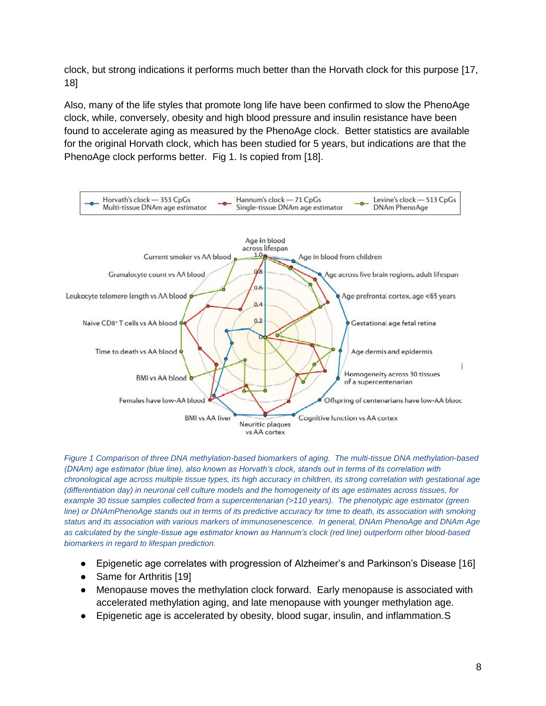clock, but strong indications it performs much better than the Horvath clock for this purpose [\[17,](#page-16-16) [18\]](#page-17-0)

Also, many of the life styles that promote long life have been confirmed to slow the PhenoAge clock, while, conversely, obesity and high blood pressure and insulin resistance have been found to accelerate aging as measured by the PhenoAge clock. Better statistics are available for the original Horvath clock, which has been studied for 5 years, but indications are that the PhenoAge clock performs better. Fig 1. Is copied from [\[18\]](#page-17-0).



*Figure 1 Comparison of three DNA methylation-based biomarkers of aging. The multi-tissue DNA methylation-based (DNAm) age estimator (blue line), also known as Horvath's clock, stands out in terms of its correlation with chronological age across multiple tissue types, its high accuracy in children, its strong correlation with gestational age (differentiation day) in neuronal cell culture models and the homogeneity of its age estimates across tissues, for example 30 tissue samples collected from a supercentenarian (>110 years). The phenotypic age estimator (green line)* or DNAmPhenoAge stands out in terms of its predictive accuracy for time to death, its association with smoking *status and its association with various markers of immunosenescence. In general, DNAm PhenoAge and DNAm Age as calculated by the single-tissue age estimator known as Hannum's clock (red line) outperform other blood-based biomarkers in regard to lifespan prediction.* 

- Epigenetic age correlates with progression of Alzheimer's and Parkinson's Disease [\[16\]](#page-16-15)
- Same for Arthritis [\[19\]](#page-17-1)
- Menopause moves the methylation clock forward. Early menopause is associated with accelerated methylation aging, and late menopause with younger methylation age.
- Epigenetic age is accelerated by obesity, blood sugar, insulin, and inflammation. S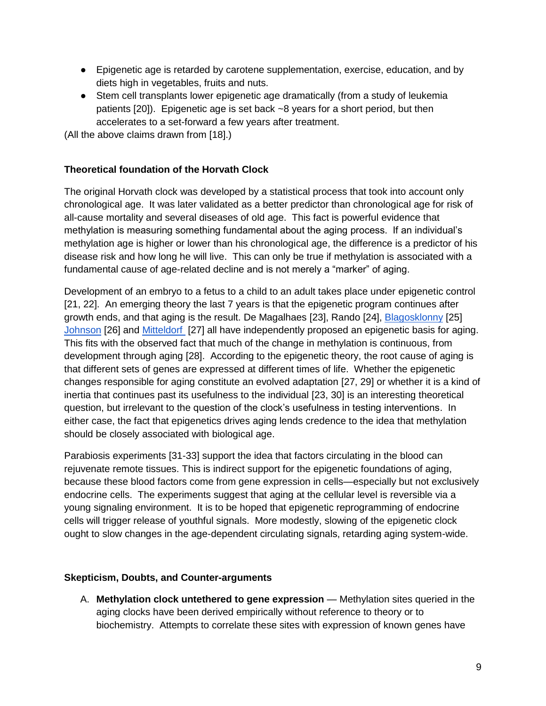- Epigenetic age is retarded by carotene supplementation, exercise, education, and by diets high in vegetables, fruits and nuts.
- Stem cell transplants lower epigenetic age dramatically (from a study of leukemia patients [\[20\]](#page-17-2)). Epigenetic age is set back ~8 years for a short period, but then accelerates to a set-forward a few years after treatment.

(All the above claims drawn from [\[18\]](#page-17-0).)

### **Theoretical foundation of the Horvath Clock**

The original Horvath clock was developed by a statistical process that took into account only chronological age. It was later validated as a better predictor than chronological age for risk of all-cause mortality and several diseases of old age. This fact is powerful evidence that methylation is measuring something fundamental about the aging process. If an individual's methylation age is higher or lower than his chronological age, the difference is a predictor of his disease risk and how long he will live. This can only be true if methylation is associated with a fundamental cause of age-related decline and is not merely a "marker" of aging.

Development of an embryo to a fetus to a child to an adult takes place under epigenetic control [\[21,](#page-17-3) [22\]](#page-17-4). An emerging theory the last 7 years is that the epigenetic program continues after growth ends, and that aging is the result. De Magalhaes [\[23\]](#page-17-5), Rando [\[24\]](#page-17-6), [Blagosklonny](https://www.tandfonline.com/doi/pdf/10.4161/cc.5.18.3288) [\[25\]](#page-17-7) Johnson [\[26\]](#page-17-8) and [Mitteldorf](https://www.ncbi.nlm.nih.gov/pubmed/26608516) [\[27\]](#page-17-9) all have independently proposed an epigenetic basis for aging. This fits with the observed fact that much of the change in methylation is continuous, from development through aging [\[28\]](#page-17-10). According to the epigenetic theory, the root cause of aging is that different sets of genes are expressed at different times of life. Whether the epigenetic changes responsible for aging constitute an evolved adaptation [\[27,](#page-17-9) [29\]](#page-17-11) or whether it is a kind of inertia that continues past its usefulness to the individual [\[23,](#page-17-5) [30\]](#page-17-12) is an interesting theoretical question, but irrelevant to the question of the clock's usefulness in testing interventions. In either case, the fact that epigenetics drives aging lends credence to the idea that methylation should be closely associated with biological age.

Parabiosis experiments [\[31-33\]](#page-17-13) support the idea that factors circulating in the blood can rejuvenate remote tissues. This is indirect support for the epigenetic foundations of aging, because these blood factors come from gene expression in cells—especially but not exclusively endocrine cells. The experiments suggest that aging at the cellular level is reversible via a young signaling environment. It is to be hoped that epigenetic reprogramming of endocrine cells will trigger release of youthful signals. More modestly, slowing of the epigenetic clock ought to slow changes in the age-dependent circulating signals, retarding aging system-wide.

#### **Skepticism, Doubts, and Counter-arguments**

A. **Methylation clock untethered to gene expression** — Methylation sites queried in the aging clocks have been derived empirically without reference to theory or to biochemistry. Attempts to correlate these sites with expression of known genes have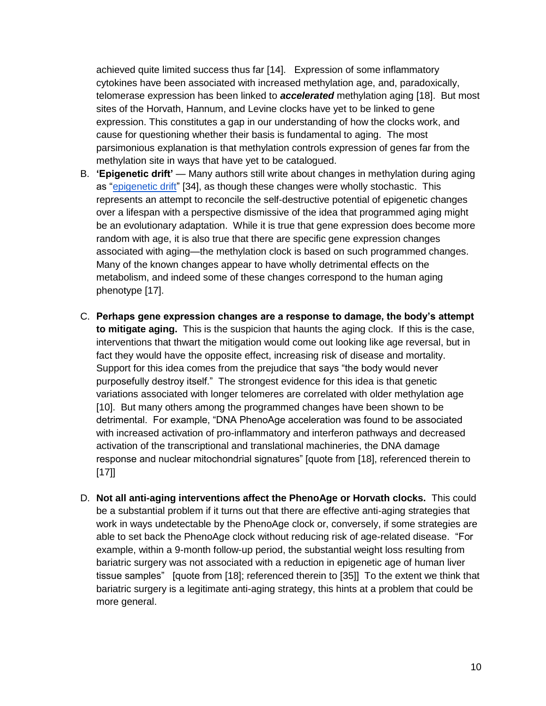achieved quite limited success thus far [\[14\]](#page-16-13). Expression of some inflammatory cytokines have been associated with increased methylation age, and, paradoxically, telomerase expression has been linked to *accelerated* methylation aging [\[18\]](#page-17-0). But most sites of the Horvath, Hannum, and Levine clocks have yet to be linked to gene expression. This constitutes a gap in our understanding of how the clocks work, and cause for questioning whether their basis is fundamental to aging. The most parsimonious explanation is that methylation controls expression of genes far from the methylation site in ways that have yet to be catalogued.

- B. **'Epigenetic drift'**  Many authors still write about changes in methylation during aging as ["epigenetic drift"](https://www.jci.org/articles/view/69735) [\[34\]](#page-17-14), as though these changes were wholly stochastic. This represents an attempt to reconcile the self-destructive potential of epigenetic changes over a lifespan with a perspective dismissive of the idea that programmed aging might be an evolutionary adaptation. While it is true that gene expression does become more random with age, it is also true that there are specific gene expression changes associated with aging—the methylation clock is based on such programmed changes. Many of the known changes appear to have wholly detrimental effects on the metabolism, and indeed some of these changes correspond to the human aging phenotype [\[17\]](#page-16-16).
- C. **Perhaps gene expression changes are a response to damage, the body's attempt to mitigate aging.** This is the suspicion that haunts the aging clock. If this is the case, interventions that thwart the mitigation would come out looking like age reversal, but in fact they would have the opposite effect, increasing risk of disease and mortality. Support for this idea comes from the prejudice that says "the body would never purposefully destroy itself." The strongest evidence for this idea is that genetic variations associated with longer telomeres are correlated with older methylation age [\[10\]](#page-16-9). But many others among the programmed changes have been shown to be detrimental. For example, "DNA PhenoAge acceleration was found to be associated with increased activation of pro-inflammatory and interferon pathways and decreased activation of the transcriptional and translational machineries, the DNA damage response and nuclear mitochondrial signatures" [quote from [\[18\]](#page-17-0), referenced therein to [\[17\]](#page-16-16)]
- D. **Not all anti-aging interventions affect the PhenoAge or Horvath clocks.** This could be a substantial problem if it turns out that there are effective anti-aging strategies that work in ways undetectable by the PhenoAge clock or, conversely, if some strategies are able to set back the PhenoAge clock without reducing risk of age-related disease. "For example, within a 9-month follow-up period, the substantial weight loss resulting from bariatric surgery was not associated with a reduction in epigenetic age of human liver tissue samples" [quote from [\[18\]](#page-17-0); referenced therein to [\[35\]](#page-17-15)] To the extent we think that bariatric surgery is a legitimate anti-aging strategy, this hints at a problem that could be more general.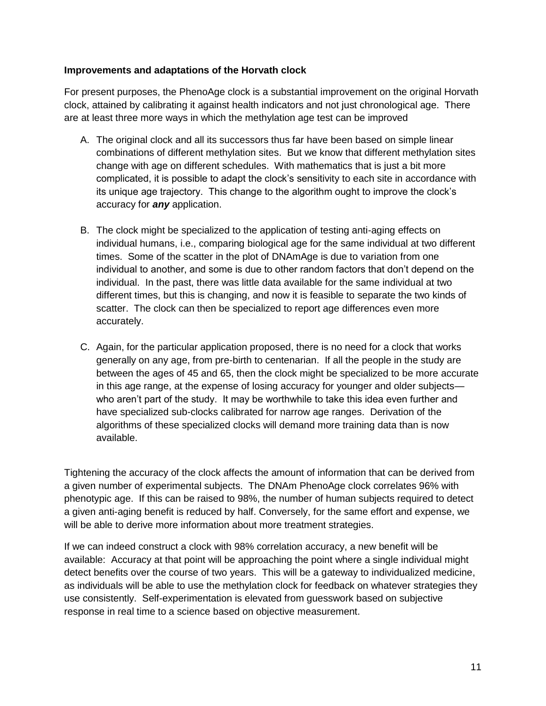### **Improvements and adaptations of the Horvath clock**

For present purposes, the PhenoAge clock is a substantial improvement on the original Horvath clock, attained by calibrating it against health indicators and not just chronological age. There are at least three more ways in which the methylation age test can be improved

- A. The original clock and all its successors thus far have been based on simple linear combinations of different methylation sites. But we know that different methylation sites change with age on different schedules. With mathematics that is just a bit more complicated, it is possible to adapt the clock's sensitivity to each site in accordance with its unique age trajectory. This change to the algorithm ought to improve the clock's accuracy for *any* application.
- B. The clock might be specialized to the application of testing anti-aging effects on individual humans, i.e., comparing biological age for the same individual at two different times. Some of the scatter in the plot of DNAmAge is due to variation from one individual to another, and some is due to other random factors that don't depend on the individual. In the past, there was little data available for the same individual at two different times, but this is changing, and now it is feasible to separate the two kinds of scatter. The clock can then be specialized to report age differences even more accurately.
- C. Again, for the particular application proposed, there is no need for a clock that works generally on any age, from pre-birth to centenarian. If all the people in the study are between the ages of 45 and 65, then the clock might be specialized to be more accurate in this age range, at the expense of losing accuracy for younger and older subjects who aren't part of the study. It may be worthwhile to take this idea even further and have specialized sub-clocks calibrated for narrow age ranges. Derivation of the algorithms of these specialized clocks will demand more training data than is now available.

Tightening the accuracy of the clock affects the amount of information that can be derived from a given number of experimental subjects. The DNAm PhenoAge clock correlates 96% with phenotypic age. If this can be raised to 98%, the number of human subjects required to detect a given anti-aging benefit is reduced by half. Conversely, for the same effort and expense, we will be able to derive more information about more treatment strategies.

If we can indeed construct a clock with 98% correlation accuracy, a new benefit will be available: Accuracy at that point will be approaching the point where a single individual might detect benefits over the course of two years. This will be a gateway to individualized medicine, as individuals will be able to use the methylation clock for feedback on whatever strategies they use consistently. Self-experimentation is elevated from guesswork based on subjective response in real time to a science based on objective measurement.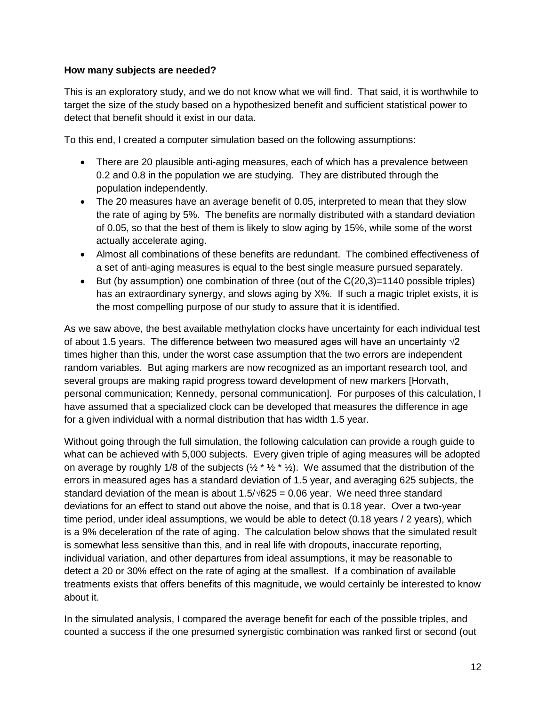#### **How many subjects are needed?**

This is an exploratory study, and we do not know what we will find. That said, it is worthwhile to target the size of the study based on a hypothesized benefit and sufficient statistical power to detect that benefit should it exist in our data.

To this end, I created a computer simulation based on the following assumptions:

- There are 20 plausible anti-aging measures, each of which has a prevalence between 0.2 and 0.8 in the population we are studying. They are distributed through the population independently.
- The 20 measures have an average benefit of 0.05, interpreted to mean that they slow the rate of aging by 5%. The benefits are normally distributed with a standard deviation of 0.05, so that the best of them is likely to slow aging by 15%, while some of the worst actually accelerate aging.
- Almost all combinations of these benefits are redundant. The combined effectiveness of a set of anti-aging measures is equal to the best single measure pursued separately.
- But (by assumption) one combination of three (out of the  $C(20,3)=1140$  possible triples) has an extraordinary synergy, and slows aging by X%. If such a magic triplet exists, it is the most compelling purpose of our study to assure that it is identified.

As we saw above, the best available methylation clocks have uncertainty for each individual test of about 1.5 years. The difference between two measured ages will have an uncertainty  $\sqrt{2}$ times higher than this, under the worst case assumption that the two errors are independent random variables. But aging markers are now recognized as an important research tool, and several groups are making rapid progress toward development of new markers [Horvath, personal communication; Kennedy, personal communication]. For purposes of this calculation, I have assumed that a specialized clock can be developed that measures the difference in age for a given individual with a normal distribution that has width 1.5 year.

Without going through the full simulation, the following calculation can provide a rough guide to what can be achieved with 5,000 subjects. Every given triple of aging measures will be adopted on average by roughly 1/8 of the subjects ( $\frac{1}{2}$  \*  $\frac{1}{2}$  \*  $\frac{1}{2}$ ). We assumed that the distribution of the errors in measured ages has a standard deviation of 1.5 year, and averaging 625 subjects, the standard deviation of the mean is about  $1.5/\sqrt{625} = 0.06$  year. We need three standard deviations for an effect to stand out above the noise, and that is 0.18 year. Over a two-year time period, under ideal assumptions, we would be able to detect (0.18 years / 2 years), which is a 9% deceleration of the rate of aging. The calculation below shows that the simulated result is somewhat less sensitive than this, and in real life with dropouts, inaccurate reporting, individual variation, and other departures from ideal assumptions, it may be reasonable to detect a 20 or 30% effect on the rate of aging at the smallest. If a combination of available treatments exists that offers benefits of this magnitude, we would certainly be interested to know about it.

In the simulated analysis, I compared the average benefit for each of the possible triples, and counted a success if the one presumed synergistic combination was ranked first or second (out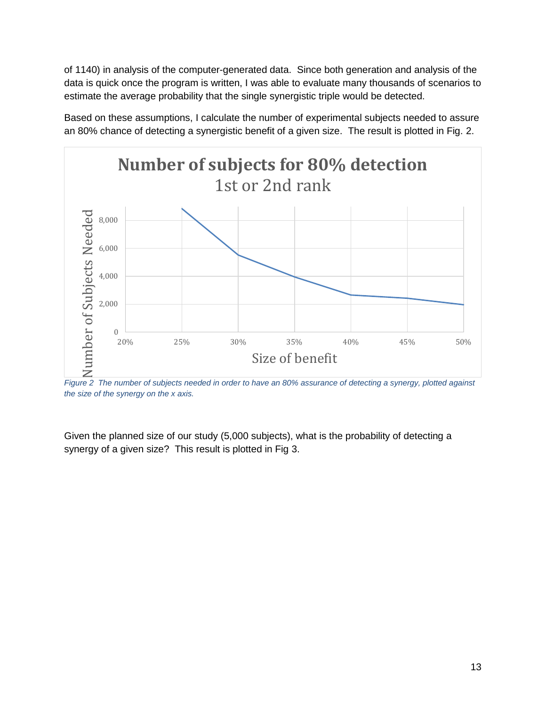of 1140) in analysis of the computer-generated data. Since both generation and analysis of the data is quick once the program is written, I was able to evaluate many thousands of scenarios to estimate the average probability that the single synergistic triple would be detected.





*Figure 2 The number of subjects needed in order to have an 80% assurance of detecting a synergy, plotted against the size of the synergy on the x axis.*

Given the planned size of our study (5,000 subjects), what is the probability of detecting a synergy of a given size? This result is plotted in Fig 3.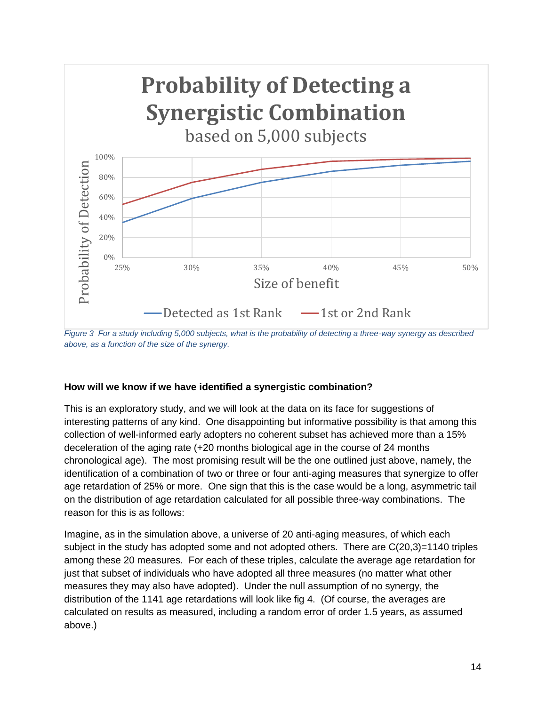

*Figure 3 For a study including 5,000 subjects, what is the probability of detecting a three-way synergy as described above, as a function of the size of the synergy.*

### **How will we know if we have identified a synergistic combination?**

This is an exploratory study, and we will look at the data on its face for suggestions of interesting patterns of any kind. One disappointing but informative possibility is that among this collection of well-informed early adopters no coherent subset has achieved more than a 15% deceleration of the aging rate (+20 months biological age in the course of 24 months chronological age). The most promising result will be the one outlined just above, namely, the identification of a combination of two or three or four anti-aging measures that synergize to offer age retardation of 25% or more. One sign that this is the case would be a long, asymmetric tail on the distribution of age retardation calculated for all possible three-way combinations. The reason for this is as follows:

Imagine, as in the simulation above, a universe of 20 anti-aging measures, of which each subject in the study has adopted some and not adopted others. There are C(20,3)=1140 triples among these 20 measures. For each of these triples, calculate the average age retardation for just that subset of individuals who have adopted all three measures (no matter what other measures they may also have adopted). Under the null assumption of no synergy, the distribution of the 1141 age retardations will look like fig 4. (Of course, the averages are calculated on results as measured, including a random error of order 1.5 years, as assumed above.)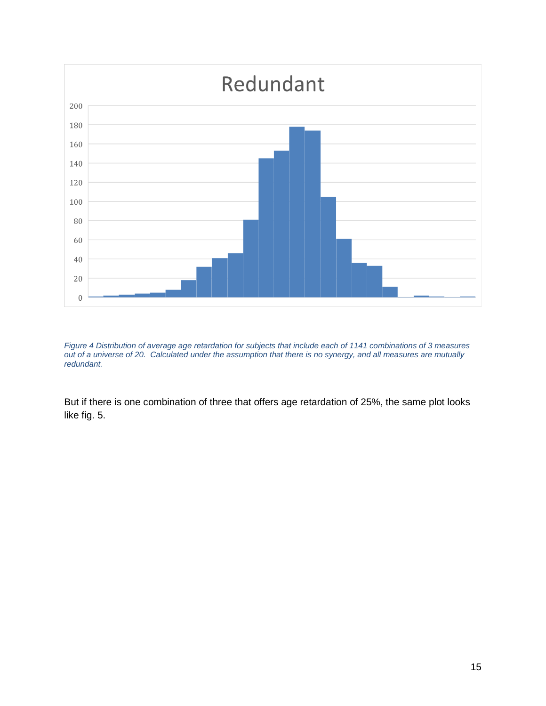

*Figure 4 Distribution of average age retardation for subjects that include each of 1141 combinations of 3 measures out of a universe of 20. Calculated under the assumption that there is no synergy, and all measures are mutually redundant.*

But if there is one combination of three that offers age retardation of 25%, the same plot looks like fig. 5.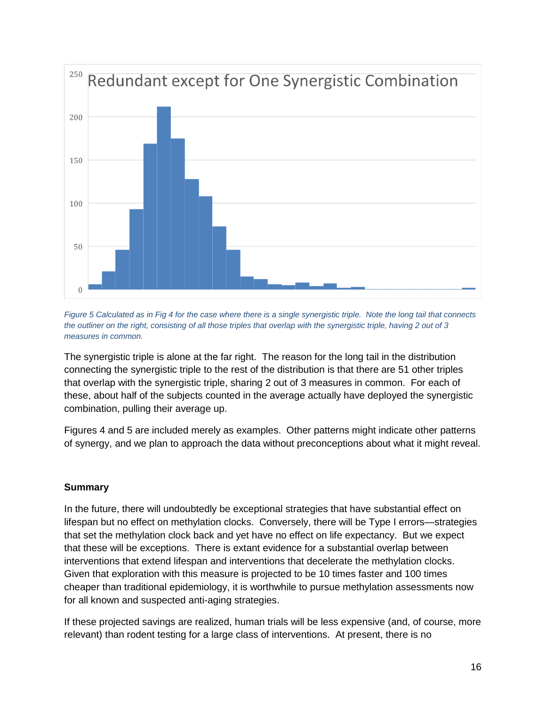

*Figure 5 Calculated as in Fig 4 for the case where there is a single synergistic triple. Note the long tail that connects the outliner on the right, consisting of all those triples that overlap with the synergistic triple, having 2 out of 3 measures in common.*

The synergistic triple is alone at the far right. The reason for the long tail in the distribution connecting the synergistic triple to the rest of the distribution is that there are 51 other triples that overlap with the synergistic triple, sharing 2 out of 3 measures in common. For each of these, about half of the subjects counted in the average actually have deployed the synergistic combination, pulling their average up.

Figures 4 and 5 are included merely as examples. Other patterns might indicate other patterns of synergy, and we plan to approach the data without preconceptions about what it might reveal.

#### **Summary**

In the future, there will undoubtedly be exceptional strategies that have substantial effect on lifespan but no effect on methylation clocks. Conversely, there will be Type I errors—strategies that set the methylation clock back and yet have no effect on life expectancy. But we expect that these will be exceptions. There is extant evidence for a substantial overlap between interventions that extend lifespan and interventions that decelerate the methylation clocks. Given that exploration with this measure is projected to be 10 times faster and 100 times cheaper than traditional epidemiology, it is worthwhile to pursue methylation assessments now for all known and suspected anti-aging strategies.

If these projected savings are realized, human trials will be less expensive (and, of course, more relevant) than rodent testing for a large class of interventions. At present, there is no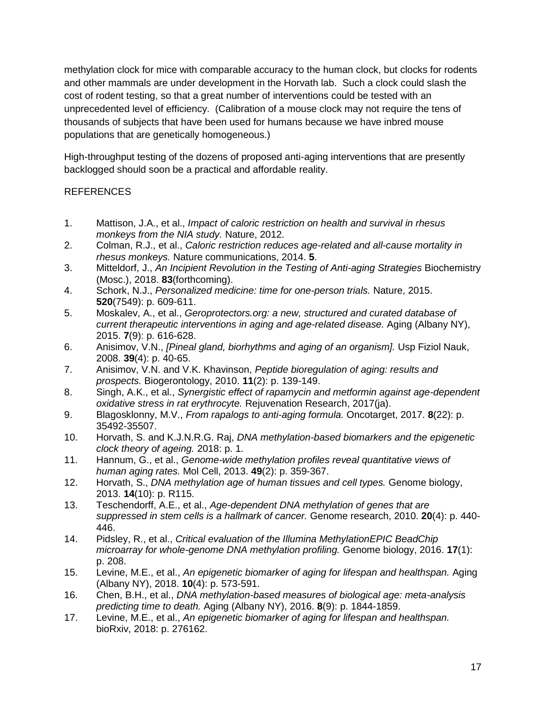methylation clock for mice with comparable accuracy to the human clock, but clocks for rodents and other mammals are under development in the Horvath lab. Such a clock could slash the cost of rodent testing, so that a great number of interventions could be tested with an unprecedented level of efficiency. (Calibration of a mouse clock may not require the tens of thousands of subjects that have been used for humans because we have inbred mouse populations that are genetically homogeneous.)

High-throughput testing of the dozens of proposed anti-aging interventions that are presently backlogged should soon be a practical and affordable reality.

# REFERENCES

- <span id="page-16-0"></span>1. Mattison, J.A., et al., *Impact of caloric restriction on health and survival in rhesus monkeys from the NIA study.* Nature, 2012.
- <span id="page-16-1"></span>2. Colman, R.J., et al., *Caloric restriction reduces age-related and all-cause mortality in rhesus monkeys.* Nature communications, 2014. **5**.
- <span id="page-16-2"></span>3. Mitteldorf, J., *An Incipient Revolution in the Testing of Anti-aging Strategies* Biochemistry (Mosc.), 2018. **83**(forthcoming).
- <span id="page-16-3"></span>4. Schork, N.J., *Personalized medicine: time for one-person trials.* Nature, 2015. **520**(7549): p. 609-611.
- <span id="page-16-4"></span>5. Moskalev, A., et al., *Geroprotectors.org: a new, structured and curated database of current therapeutic interventions in aging and age-related disease.* Aging (Albany NY), 2015. **7**(9): p. 616-628.
- <span id="page-16-5"></span>6. Anisimov, V.N., *[Pineal gland, biorhythms and aging of an organism].* Usp Fiziol Nauk, 2008. **39**(4): p. 40-65.
- <span id="page-16-6"></span>7. Anisimov, V.N. and V.K. Khavinson, *Peptide bioregulation of aging: results and prospects.* Biogerontology, 2010. **11**(2): p. 139-149.
- <span id="page-16-7"></span>8. Singh, A.K., et al., *Synergistic effect of rapamycin and metformin against age-dependent oxidative stress in rat erythrocyte.* Rejuvenation Research, 2017(ja).
- <span id="page-16-8"></span>9. Blagosklonny, M.V., *From rapalogs to anti-aging formula.* Oncotarget, 2017. **8**(22): p. 35492-35507.
- <span id="page-16-9"></span>10. Horvath, S. and K.J.N.R.G. Raj, *DNA methylation-based biomarkers and the epigenetic clock theory of ageing.* 2018: p. 1.
- <span id="page-16-10"></span>11. Hannum, G., et al., *Genome-wide methylation profiles reveal quantitative views of human aging rates.* Mol Cell, 2013. **49**(2): p. 359-367.
- <span id="page-16-11"></span>12. Horvath, S., *DNA methylation age of human tissues and cell types.* Genome biology, 2013. **14**(10): p. R115.
- <span id="page-16-12"></span>13. Teschendorff, A.E., et al., *Age-dependent DNA methylation of genes that are suppressed in stem cells is a hallmark of cancer.* Genome research, 2010. **20**(4): p. 440- 446.
- <span id="page-16-13"></span>14. Pidsley, R., et al., *Critical evaluation of the Illumina MethylationEPIC BeadChip microarray for whole-genome DNA methylation profiling.* Genome biology, 2016. **17**(1): p. 208.
- <span id="page-16-14"></span>15. Levine, M.E., et al., *An epigenetic biomarker of aging for lifespan and healthspan.* Aging (Albany NY), 2018. **10**(4): p. 573-591.
- <span id="page-16-15"></span>16. Chen, B.H., et al., *DNA methylation-based measures of biological age: meta-analysis predicting time to death.* Aging (Albany NY), 2016. **8**(9): p. 1844-1859.
- <span id="page-16-16"></span>17. Levine, M.E., et al., *An epigenetic biomarker of aging for lifespan and healthspan.* bioRxiv, 2018: p. 276162.